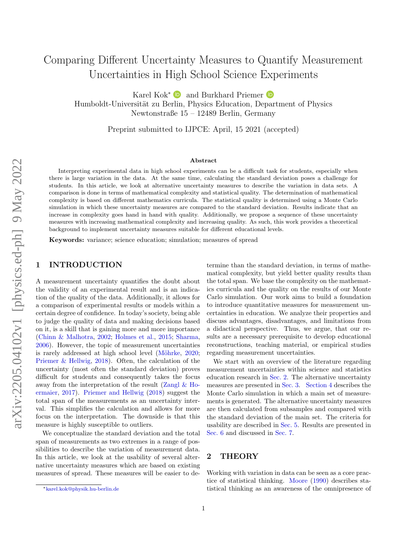# Comparing Different Uncertainty Measures to Quantify Measurement Uncertainties in High School Science Experiments

Karel Kok<sup>∗</sup> ■ and Burkhard Priemer ■

Humboldt-Universität zu Berlin, Physics Education, Department of Physics Newtonstraße 15 – 12489 Berlin, Germany

Preprint submitted to IJPCE: April, 15 2021 (accepted)

#### Abstract

Interpreting experimental data in high school experiments can be a difficult task for students, especially when there is large variation in the data. At the same time, calculating the standard deviation poses a challenge for students. In this article, we look at alternative uncertainty measures to describe the variation in data sets. A comparison is done in terms of mathematical complexity and statistical quality. The determination of mathematical complexity is based on different mathematics curricula. The statistical quality is determined using a Monte Carlo simulation in which these uncertainty measures are compared to the standard deviation. Results indicate that an increase in complexity goes hand in hand with quality. Additionally, we propose a sequence of these uncertainty measures with increasing mathematical complexity and increasing quality. As such, this work provides a theoretical background to implement uncertainty measures suitable for different educational levels.

Keywords: variance; science education; simulation; measures of spread

## 1 INTRODUCTION

A measurement uncertainty quantifies the doubt about the validity of an experimental result and is an indication of the quality of the data. Additionally, it allows for a comparison of experimental results or models within a certain degree of confidence. In today's society, being able to judge the quality of data and making decisions based on it, is a skill that is gaining more and more importance [\(Chinn & Malhotra,](#page-7-0) [2002;](#page-7-0) [Holmes et al.,](#page-7-1) [2015;](#page-7-1) [Sharma,](#page-8-0) [2006\)](#page-8-0). However, the topic of measurement uncertainties is rarely addressed at high school level (Möhrke, [2020;](#page-8-1) [Priemer & Hellwig,](#page-8-2) [2018\)](#page-8-2). Often, the calculation of the uncertainty (most often the standard deviation) proves difficult for students and consequently takes the focus away from the interpretation of the result [\(Zangl & Ho](#page-8-3)[ermaier,](#page-8-3) [2017\)](#page-8-3). [Priemer and Hellwig](#page-8-2) [\(2018\)](#page-8-2) suggest the total span of the measurements as an uncertainty interval. This simplifies the calculation and allows for more focus on the interpretation. The downside is that this measure is highly susceptible to outliers.

We conceptualize the standard deviation and the total span of measurements as two extremes in a range of possibilities to describe the variation of measurement data. In this article, we look at the usability of several alternative uncertainty measures which are based on existing measures of spread. These measures will be easier to determine than the standard deviation, in terms of mathematical complexity, but yield better quality results than the total span. We base the complexity on the mathematics curricula and the quality on the results of our Monte Carlo simulation. Our work aims to build a foundation to introduce quantitative measures for measurement uncertainties in education. We analyze their properties and discuss advantages, disadvantages, and limitations from a didactical perspective. Thus, we argue, that our results are a necessary prerequisite to develop educational reconstructions, teaching material, or empirical studies regarding measurement uncertainties.

We start with an overview of the literature regarding measurement uncertainties within science and statistics education research in [Sec. 2.](#page-0-0) The alternative uncertainty measures are presented in [Sec. 3.](#page-2-0) [Section 4](#page-2-1) describes the Monte Carlo simulation in which a main set of measurements is generated. The alternative uncertainty measures are then calculated from subsamples and compared with the standard deviation of the main set. The criteria for usability are described in [Sec. 5.](#page-3-0) Results are presented in [Sec. 6](#page-4-0) and discussed in [Sec. 7.](#page-5-0)

## <span id="page-0-0"></span>2 THEORY

Working with variation in data can be seen as a core practice of statistical thinking. [Moore](#page-8-4) [\(1990\)](#page-8-4) describes statistical thinking as an awareness of the omnipresence of

<sup>∗</sup>[karel.kok@physik.hu-berlin.de](mailto:karel.kok@physik.hu-berlin.de)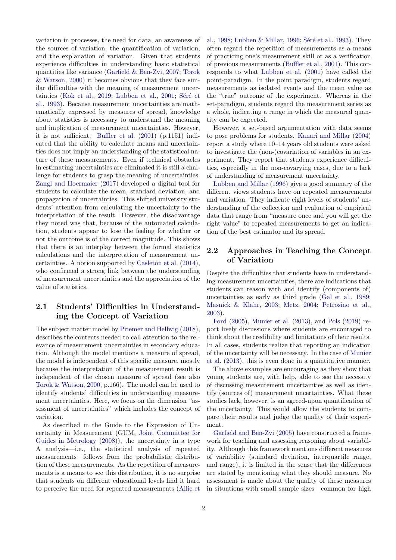variation in processes, the need for data, an awareness of the sources of variation, the quantification of variation, and the explanation of variation. Given that students experience difficulties in understanding basic statistical quantities like variance [\(Garfield & Ben-Zvi,](#page-7-2) [2007;](#page-7-2) [Torok](#page-8-5) [& Watson,](#page-8-5) [2000\)](#page-8-5) it becomes obvious that they face similar difficulties with the meaning of measurement uncer-tainties [\(Kok et al.,](#page-7-3) [2019;](#page-7-3) [Lubben et al.,](#page-7-4) [2001;](#page-7-4) Séré et [al.,](#page-8-6) [1993\)](#page-8-6). Because measurement uncertainties are mathematically expressed by measures of spread, knowledge about statistics is necessary to understand the meaning and implication of measurement uncertainties. However, it is not sufficient. [Buffler et al.](#page-7-5) [\(2001\)](#page-7-5) (p.1151) indicated that the ability to calculate means and uncertainties does not imply an understanding of the statistical nature of these measurements. Even if technical obstacles in estimating uncertainties are eliminated it is still a challenge for students to grasp the meaning of uncertainties. [Zangl and Hoermaier](#page-8-3) [\(2017\)](#page-8-3) developed a digital tool for students to calculate the mean, standard deviation, and propagation of uncertainties. This shifted university students' attention from calculating the uncertainty to the interpretation of the result. However, the disadvantage they noted was that, because of the automated calculation, students appear to lose the feeling for whether or not the outcome is of the correct magnitude. This shows that there is an interplay between the formal statistics calculations and the interpretation of measurement uncertainties. A notion supported by [Casleton et al.](#page-7-6) [\(2014\)](#page-7-6), who confirmed a strong link between the understanding of measurement uncertainties and the appreciation of the value of statistics.

## 2.1 Students' Difficulties in Understanding the Concept of Variation

The subject matter model by [Priemer and Hellwig](#page-8-2) [\(2018\)](#page-8-2), describes the contents needed to call attention to the relevance of measurement uncertainties in secondary education. Although the model mentions a measure of spread, the model is independent of this specific measure, mostly because the interpretation of the measurement result is independent of the chosen measure of spread (see also [Torok & Watson,](#page-8-5) [2000,](#page-8-5) p.166). The model can be used to identify students' difficulties in understanding measurement uncertainties. Here, we focus on the dimension "assessment of uncertainties" which includes the concept of variation.

As described in the Guide to the Expression of Uncertainty in Measurement (GUM, [Joint Committee for](#page-7-7) [Guides in Metrology](#page-7-7) [\(2008\)](#page-7-7)), the uncertainty in a type A analysis—i.e., the statistical analysis of repeated measurements—follows from the probabilistic distribution of these measurements. As the repetition of measurements is a means to see this distribution, it is no surprise that students on different educational levels find it hard to perceive the need for repeated measurements [\(Allie et](#page-7-8) [al.,](#page-7-8) [1998;](#page-7-8) [Lubben & Millar,](#page-7-9) [1996;](#page-7-9) Séré et al., [1993\)](#page-8-6). They often regard the repetition of measurements as a means of practicing one's measurement skill or as a verification of previous measurements [\(Buffler et al.,](#page-7-5) [2001\)](#page-7-5). This corresponds to what [Lubben et al.](#page-7-4) [\(2001\)](#page-7-4) have called the point-paradigm. In the point paradigm, students regard measurements as isolated events and the mean value as the "true" outcome of the experiment. Whereas in the set-paradigm, students regard the measurement series as a whole, indicating a range in which the measured quantity can be expected.

However, a set-based argumentation with data seems to pose problems for students. [Kanari and Millar](#page-7-10) [\(2004\)](#page-7-10) report a study where 10–14 years old students were asked to investigate the (non-)covariation of variables in an experiment. They report that students experience difficulties, especially in the non-covarying cases, due to a lack of understanding of measurement uncertainty.

[Lubben and Millar](#page-7-9) [\(1996\)](#page-7-9) give a good summary of the different views students have on repeated measurements and variation. They indicate eight levels of students' understanding of the collection and evaluation of empirical data that range from "measure once and you will get the right value" to repeated measurements to get an indication of the best estimator and its spread.

# 2.2 Approaches in Teaching the Concept of Variation

Despite the difficulties that students have in understanding measurement uncertainties, there are indications that students can reason with and identify (components of) uncertainties as early as third grade [\(Gal et al.,](#page-7-11) [1989;](#page-7-11) [Masnick & Klahr,](#page-7-12) [2003;](#page-7-12) [Metz,](#page-8-7) [2004;](#page-8-7) [Petrosino et al.,](#page-8-8) [2003\)](#page-8-8).

[Ford](#page-7-13) [\(2005\)](#page-7-13), [Munier et al.](#page-8-9) [\(2013\)](#page-8-9), and [Pols](#page-8-10) [\(2019\)](#page-8-10) report lively discussions where students are encouraged to think about the credibility and limitations of their results. In all cases, students realize that reporting an indication of the uncertainty will be necessary. In the case of [Munier](#page-8-9) [et al.](#page-8-9) [\(2013\)](#page-8-9), this is even done in a quantitative manner.

The above examples are encouraging as they show that young students are, with help, able to see the necessity of discussing measurement uncertainties as well as identify (sources of) measurement uncertainties. What these studies lack, however, is an agreed-upon quantification of the uncertainty. This would allow the students to compare their results and judge the quality of their experiment.

[Garfield and Ben-Zvi](#page-7-14) [\(2005\)](#page-7-14) have constructed a framework for teaching and assessing reasoning about variability. Although this framework mentions different measures of variability (standard deviation, interquartile range, and range), it is limited in the sense that the differences are stated by mentioning what they should measure. No assessment is made about the quality of these measures in situations with small sample sizes—common for high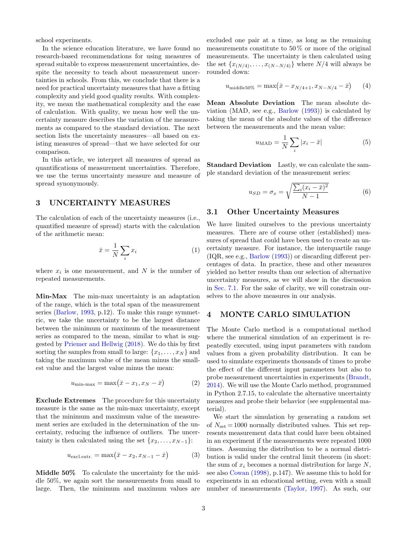school experiments.

In the science education literature, we have found no research-based recommendations for using measures of spread suitable to express measurement uncertainties, despite the necessity to teach about measurement uncertainties in schools. From this, we conclude that there is a need for practical uncertainty measures that have a fitting complexity and yield good quality results. With complexity, we mean the mathematical complexity and the ease of calculation. With quality, we mean how well the uncertainty measure describes the variation of the measurements as compared to the standard deviation. The next section lists the uncertainty measures—all based on existing measures of spread—that we have selected for our comparison.

In this article, we interpret all measures of spread as quantifications of measurement uncertainties. Therefore, we use the terms uncertainty measure and measure of spread synonymously.

## <span id="page-2-0"></span>3 UNCERTAINTY MEASURES

The calculation of each of the uncertainty measures (i.e., quantified measure of spread) starts with the calculation of the arithmetic mean:

$$
\bar{x} = \frac{1}{N} \sum_{i} x_i \tag{1}
$$

where  $x_i$  is one measurement, and N is the number of repeated measurements.

Min-Max The min-max uncertainty is an adaptation of the range, which is the total span of the measurement series [\(Barlow,](#page-7-15) [1993,](#page-7-15) p.12). To make this range symmetric, we take the uncertainty to be the largest distance between the minimum or maximum of the measurement series as compared to the mean, similar to what is suggested by [Priemer and Hellwig](#page-8-2) [\(2018\)](#page-8-2). We do this by first sorting the samples from small to large:  $\{x_1, \ldots, x_N\}$  and taking the maximum value of the mean minus the smallest value and the largest value minus the mean:

$$
u_{\min\text{-} \max} = \max(\bar{x} - x_1, x_N - \bar{x}) \tag{2}
$$

Exclude Extremes The procedure for this uncertainty measure is the same as the min-max uncertainty, except that the minimum and maximum value of the measurement series are excluded in the determination of the uncertainty, reducing the influence of outliers. The uncertainty is then calculated using the set  $\{x_2, \ldots, x_{N-1}\}$ :

$$
u_{\text{excl.extr.}} = \max(\bar{x} - x_2, x_{N-1} - \bar{x})\tag{3}
$$

Middle 50% To calculate the uncertainty for the middle 50%, we again sort the measurements from small to large. Then, the minimum and maximum values are excluded one pair at a time, as long as the remaining measurements constitute to 50  $\%$  or more of the original measurements. The uncertainty is then calculated using the set  $\{x_{(N/4)}, \ldots, x_{(N-N/4)}\}$  where  $N/4$  will always be rounded down:

$$
u_{\text{middle50\%}} = \max(\bar{x} - x_{N/4+1}, x_{N-N/4} - \bar{x}) \tag{4}
$$

Mean Absolute Deviation The mean absolute deviation (MAD, see e.g., [Barlow](#page-7-15) [\(1993\)](#page-7-15)) is calculated by taking the mean of the absolute values of the difference between the measurements and the mean value:

$$
u_{\rm MAD} = \frac{1}{N} \sum_{i} |x_i - \bar{x}| \tag{5}
$$

Standard Deviation Lastly, we can calculate the sample standard deviation of the measurement series:

$$
u_{SD} = \sigma_x = \sqrt{\frac{\sum_i (x_i - \bar{x})^2}{N - 1}} \tag{6}
$$

## 3.1 Other Uncertainty Measures

We have limited ourselves to the previous uncertainty measures. There are of course other (established) measures of spread that could have been used to create an uncertainty measure. For instance, the interquartile range (IQR, see e.g., [Barlow](#page-7-15) [\(1993\)](#page-7-15)) or discarding different percentages of data. In practice, these and other measures yielded no better results than our selection of alternative uncertainty measures, as we will show in the discussion in [Sec. 7.1.](#page-5-1) For the sake of clarity, we will constrain ourselves to the above measures in our analysis.

#### <span id="page-2-1"></span>4 MONTE CARLO SIMULATION

The Monte Carlo method is a computational method where the numerical simulation of an experiment is repeatedly executed, using input parameters with random values from a given probability distribution. It can be used to simulate experiments thousands of times to probe the effect of the different input parameters but also to probe measurement uncertainties in experiments [\(Brandt,](#page-7-16) [2014\)](#page-7-16). We will use the Monte Carlo method, programmed in Python 2.7.15, to calculate the alternative uncertainty measures and probe their behavior (see supplemental material).

We start the simulation by generating a random set of  $N_{\text{set}} = 1000$  normally distributed values. This set represents measurement data that could have been obtained in an experiment if the measurements were repeated 1000 times. Assuming the distribution to be a normal distribution is valid under the central limit theorem (in short: the sum of  $x_i$  becomes a normal distribution for large N, see also [Cowan](#page-7-17) [\(1998\)](#page-7-17), p.147). We assume this to hold for experiments in an educational setting, even with a small number of measurements [\(Taylor,](#page-8-11) [1997\)](#page-8-11). As such, our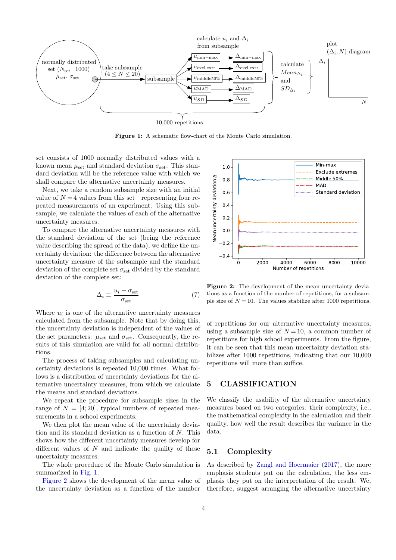<span id="page-3-1"></span>

Figure 1: A schematic flow-chart of the Monte Carlo simulation.

set consists of 1000 normally distributed values with a known mean  $\mu_{\text{set}}$  and standard deviation  $\sigma_{\text{set}}$ . This standard deviation will be the reference value with which we shall compare the alternative uncertainty measures.

Next, we take a random subsample size with an initial value of  $N = 4$  values from this set—representing four repeated measurements of an experiment. Using this subsample, we calculate the values of each of the alternative uncertainty measures.

To compare the alternative uncertainty measures with the standard deviation of the set (being the reference value describing the spread of the data), we define the uncertainty deviation: the difference between the alternative uncertainty measure of the subsample and the standard deviation of the complete set  $\sigma_{\rm set}$  divided by the standard deviation of the complete set:

<span id="page-3-3"></span>
$$
\Delta_i \equiv \frac{u_i - \sigma_{\rm set}}{\sigma_{\rm set}} \tag{7}
$$

Where  $u_i$  is one of the alternative uncertainty measures calculated from the subsample. Note that by doing this, the uncertainty deviation is independent of the values of the set parameters:  $\mu_{\text{set}}$  and  $\sigma_{\text{set}}$ . Consequently, the results of this simulation are valid for all normal distributions.

The process of taking subsamples and calculating uncertainty deviations is repeated 10,000 times. What follows is a distribution of uncertainty deviations for the alternative uncertainty measures, from which we calculate the means and standard deviations.

We repeat the procedure for subsample sizes in the range of  $N = [4, 20]$ , typical numbers of repeated measurements in a school experiments.

We then plot the mean value of the uncertainty deviation and its standard deviation as a function of N. This shows how the different uncertainty measures develop for different values of  $N$  and indicate the quality of these uncertainty measures.

The whole procedure of the Monte Carlo simulation is summarized in [Fig. 1.](#page-3-1)

[Figure 2](#page-3-2) shows the development of the mean value of the uncertainty deviation as a function of the number

<span id="page-3-2"></span>

Figure 2: The development of the mean uncertainty deviations as a function of the number of repetitions, for a subsample size of  $N = 10$ . The values stabilize after 1000 repetitions.

of repetitions for our alternative uncertainty measures, using a subsample size of  $N = 10$ , a common number of repetitions for high school experiments. From the figure, it can be seen that this mean uncertainty deviation stabilizes after 1000 repetitions, indicating that our 10,000 repetitions will more than suffice.

## <span id="page-3-0"></span>5 CLASSIFICATION

We classify the usability of the alternative uncertainty measures based on two categories: their complexity, i.e., the mathematical complexity in the calculation and their quality, how well the result describes the variance in the data.

# 5.1 Complexity

As described by [Zangl and Hoermaier](#page-8-3) [\(2017\)](#page-8-3), the more emphasis students put on the calculation, the less emphasis they put on the interpretation of the result. We, therefore, suggest arranging the alternative uncertainty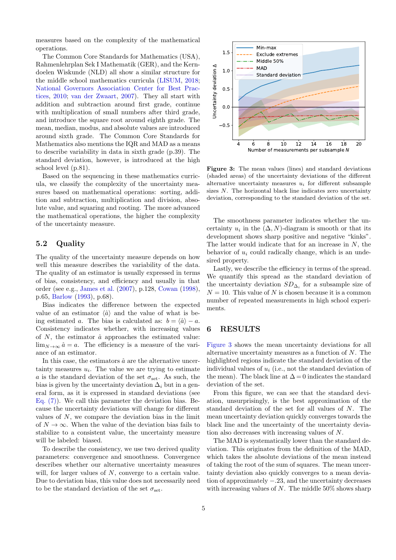measures based on the complexity of the mathematical operations.

The Common Core Standards for Mathematics (USA), Rahmenlehrplan Sek I Mathematik (GER), and the Kerndoelen Wiskunde (NLD) all show a similar structure for the middle school mathematics curricula [\(LISUM,](#page-7-18) [2018;](#page-7-18) [National Governors Association Center for Best Prac](#page-8-12)[tices,](#page-8-12) [2010;](#page-8-12) [van der Zwaart,](#page-8-13) [2007\)](#page-8-13). They all start with addition and subtraction around first grade, continue with multiplication of small numbers after third grade, and introduce the square root around eighth grade. The mean, median, modus, and absolute values are introduced around sixth grade. The Common Core Standards for Mathematics also mentions the IQR and MAD as a means to describe variability in data in sixth grade (p.39). The standard deviation, however, is introduced at the high school level (p.81).

Based on the sequencing in these mathematics curricula, we classify the complexity of the uncertainty measures based on mathematical operations: sorting, addition and subtraction, multiplication and division, absolute value, and squaring and rooting. The more advanced the mathematical operations, the higher the complexity of the uncertainty measure.

### 5.2 Quality

The quality of the uncertainty measure depends on how well this measure describes the variability of the data. The quality of an estimator is usually expressed in terms of bias, consistency, and efficiency and usually in that order (see e.g., [James et al.](#page-7-19) [\(2007\)](#page-7-19), p.128, [Cowan](#page-7-17) [\(1998\)](#page-7-17), p.65, [Barlow](#page-7-15) [\(1993\)](#page-7-15), p.68).

Bias indicates the difference between the expected value of an estimator  $\langle \hat{a} \rangle$  and the value of what is being estimated a. The bias is calculated as:  $b = \langle \hat{a} \rangle - a$ . Consistency indicates whether, with increasing values of  $N$ , the estimator  $\hat{a}$  approaches the estimated value:  $\lim_{N\to\infty} \hat{a} = a$ . The efficiency is a measure of the variance of an estimator.

In this case, the estimators  $\hat{a}$  are the alternative uncertainty measures  $u_i$ . The value we are trying to estimate a is the standard deviation of the set  $\sigma_{\rm set}$ . As such, the bias is given by the uncertainty deviation  $\Delta_i$  but in a general form, as it is expressed in standard deviations (see [Eq. \(7\)\)](#page-3-3). We call this parameter the deviation bias. Because the uncertainty deviations will change for different values of N, we compare the deviation bias in the limit of  $N \to \infty$ . When the value of the deviation bias fails to stabilize to a consistent value, the uncertainty measure will be labeled: biased.

To describe the consistency, we use two derived quality parameters: convergence and smoothness. Convergence describes whether our alternative uncertainty measures will, for larger values of N, converge to a certain value. Due to deviation bias, this value does not necessarily need to be the standard deviation of the set  $\sigma_{\rm set}$ .

<span id="page-4-1"></span>

Figure 3: The mean values (lines) and standard deviations (shaded areas) of the uncertainty deviations of the different alternative uncertainty measures  $u_i$  for different subsample sizes N. The horizontal black line indicates zero uncertainty deviation, corresponding to the standard deviation of the set.

The smoothness parameter indicates whether the uncertainty  $u_i$  in the  $(\Delta, N)$ -diagram is smooth or that its development shows sharp positive and negative "kinks". The latter would indicate that for an increase in N, the behavior of  $u_i$  could radically change, which is an undesired property.

Lastly, we describe the efficiency in terms of the spread. We quantify this spread as the standard deviation of the uncertainty deviation  $SD_{\Delta_i}$  for a subsample size of  $N = 10$ . This value of N is chosen because it is a common number of repeated measurements in high school experiments.

#### <span id="page-4-0"></span>6 RESULTS

[Figure 3](#page-4-1) shows the mean uncertainty deviations for all alternative uncertainty measures as a function of  $N$ . The highlighted regions indicate the standard deviation of the individual values of  $u_i$  (i.e., not the standard deviation of the mean). The black line at  $\Delta = 0$  indicates the standard deviation of the set.

From this figure, we can see that the standard deviation, unsurprisingly, is the best approximation of the standard deviation of the set for all values of N. The mean uncertainty deviation quickly converges towards the black line and the uncertainty of the uncertainty deviation also decreases with increasing values of N.

The MAD is systematically lower than the standard deviation. This originates from the definition of the MAD, which takes the absolute deviations of the mean instead of taking the root of the sum of squares. The mean uncertainty deviation also quickly converges to a mean deviation of approximately −.23, and the uncertainty decreases with increasing values of N. The middle  $50\%$  shows sharp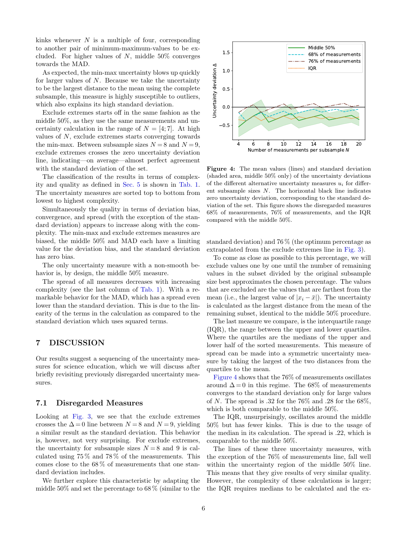kinks whenever  $N$  is a multiple of four, corresponding to another pair of minimum-maximum-values to be excluded. For higher values of  $N$ , middle 50% converges towards the MAD.

As expected, the min-max uncertainty blows up quickly for larger values of  $N$ . Because we take the uncertainty to be the largest distance to the mean using the complete subsample, this measure is highly susceptible to outliers, which also explains its high standard deviation.

Exclude extremes starts off in the same fashion as the middle 50%, as they use the same measurements and uncertainty calculation in the range of  $N = [4, 7]$ . At high values of N, exclude extremes starts converging towards the min-max. Between subsample sizes  $N = 8$  and  $N = 9$ , exclude extremes crosses the zero uncertainty deviation line, indicating—on average—almost perfect agreement with the standard deviation of the set.

The classification of the results in terms of complexity and quality as defined in [Sec. 5](#page-3-0) is shown in [Tab. 1.](#page-6-0) The uncertainty measures are sorted top to bottom from lowest to highest complexity.

Simultaneously the quality in terms of deviation bias, convergence, and spread (with the exception of the standard deviation) appears to increase along with the complexity. The min-max and exclude extremes measures are biased, the middle 50% and MAD each have a limiting value for the deviation bias, and the standard deviation has zero bias.

The only uncertainty measure with a non-smooth behavior is, by design, the middle 50% measure.

The spread of all measures decreases with increasing complexity (see the last column of [Tab. 1\)](#page-6-0). With a remarkable behavior for the MAD, which has a spread even lower than the standard deviation. This is due to the linearity of the terms in the calculation as compared to the standard deviation which uses squared terms.

#### <span id="page-5-0"></span>7 DISCUSSION

Our results suggest a sequencing of the uncertainty measures for science education, which we will discuss after briefly revisiting previously disregarded uncertainty measures.

#### <span id="page-5-1"></span>7.1 Disregarded Measures

Looking at [Fig. 3,](#page-4-1) we see that the exclude extremes crosses the  $\Delta = 0$  line between  $N = 8$  and  $N = 9$ , yielding a similar result as the standard deviation. This behavior is, however, not very surprising. For exclude extremes, the uncertainty for subsample sizes  $N = 8$  and 9 is calculated using 75 % and 78 % of the measurements. This comes close to the 68 % of measurements that one standard deviation includes.

We further explore this characteristic by adapting the middle 50% and set the percentage to 68 % (similar to the

<span id="page-5-2"></span>

Figure 4: The mean values (lines) and standard deviation (shaded area, middle 50% only) of the uncertainty deviations of the different alternative uncertainty measures  $u_i$  for different subsample sizes N. The horizontal black line indicates zero uncertainty deviation, corresponding to the standard deviation of the set. This figure shows the disregarded measures 68% of measurements, 76% of measurements, and the IQR compared with the middle 50%.

standard deviation) and 76 % (the optimum percentage as extrapolated from the exclude extremes line in [Fig. 3\)](#page-4-1).

To come as close as possible to this percentage, we will exclude values one by one until the number of remaining values in the subset divided by the original subsample size best approximates the chosen percentage. The values that are excluded are the values that are farthest from the mean (i.e., the largest value of  $|x_i - \bar{x}|$ ). The uncertainty is calculated as the largest distance from the mean of the remaining subset, identical to the middle 50% procedure.

The last measure we compare, is the interquartile range (IQR), the range between the upper and lower quartiles. Where the quartiles are the medians of the upper and lower half of the sorted measurements. This measure of spread can be made into a symmetric uncertainty measure by taking the largest of the two distances from the quartiles to the mean.

[Figure 4](#page-5-2) shows that the 76% of measurements oscillates around  $\Delta = 0$  in this regime. The 68% of measurements converges to the standard deviation only for large values of N. The spread is .32 for the  $76\%$  and .28 for the  $68\%$ , which is both comparable to the middle 50%.

The IQR, unsurprisingly, oscillates around the middle 50% but has fewer kinks. This is due to the usage of the median in its calculation. The spread is .22, which is comparable to the middle 50%.

The lines of these three uncertainty measures, with the exception of the 76% of measurements line, fall well within the uncertainty region of the middle 50% line. This means that they give results of very similar quality. However, the complexity of these calculations is larger; the IQR requires medians to be calculated and the ex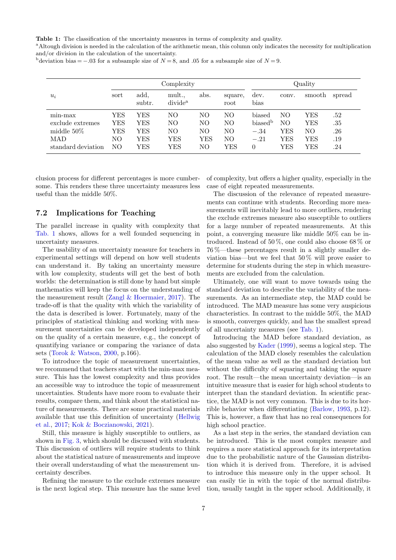<span id="page-6-0"></span>Table 1: The classification of the uncertainty measures in terms of complexity and quality.

aAltough division is needed in the calculation of the arithmetic mean, this column only indicates the necessity for multiplication and/or division in the calculation of the uncertainty.

bdeviation bias = −.03 for a subsample size of  $N = 8$ , and .05 for a subsample size of  $N = 9$ .

|                    | Complexity |                |                             |      |                 | Quality             |       |        |        |
|--------------------|------------|----------------|-----------------------------|------|-----------------|---------------------|-------|--------|--------|
| $u_i$              | sort       | add,<br>subtr. | mult<br>divide <sup>a</sup> | abs. | square,<br>root | dev.<br>bias        | conv. | smooth | spread |
| min-max            | YES        | YES            | NΟ                          | NΟ   | NO              | biased              | NO.   | YES    | .52    |
| exclude extremes   | YES        | YES            | NΟ                          | NΟ   | NO              | biased <sup>b</sup> | NО    | YES    | .35    |
| middle $50\%$      | YES        | YES            | NΟ                          | NΟ   | NΟ              | $-.34$              | YES   | NΟ     | .26    |
| <b>MAD</b>         | NO.        | YES            | YES                         | YES  | NO              | $-.21$              | YES   | YES    | .19    |
| standard deviation | NО         | YES            | YES                         | NΟ   | YES             | $\theta$            | YES   | YES    | .24    |

clusion process for different percentages is more cumbersome. This renders these three uncertainty measures less useful than the middle 50%.

#### 7.2 Implications for Teaching

The parallel increase in quality with complexity that [Tab. 1](#page-6-0) shows, allows for a well founded sequencing in uncertainty measures.

The usability of an uncertainty measure for teachers in experimental settings will depend on how well students can understand it. By taking an uncertainty measure with low complexity, students will get the best of both worlds: the determination is still done by hand but simple mathematics will keep the focus on the understanding of the measurement result [\(Zangl & Hoermaier,](#page-8-3) [2017\)](#page-8-3). The trade-off is that the quality with which the variability of the data is described is lower. Fortunately, many of the principles of statistical thinking and working with measurement uncertainties can be developed independently on the quality of a certain measure, e.g., the concept of quantifying variance or comparing the variance of data sets [\(Torok & Watson,](#page-8-5) [2000,](#page-8-5) p.166).

To introduce the topic of measurement uncertainties, we recommend that teachers start with the min-max measure. This has the lowest complexity and thus provides an accessible way to introduce the topic of measurement uncertainties. Students have more room to evaluate their results, compare them, and think about the statistical nature of measurements. There are some practical materials available that use this definition of uncertainty [\(Hellwig](#page-7-20) [et al.,](#page-7-20) [2017;](#page-7-20) [Kok & Boczianowski,](#page-7-21) [2021\)](#page-7-21).

Still, this measure is highly susceptible to outliers, as shown in [Fig. 3,](#page-4-1) which should be discussed with students. This discussion of outliers will require students to think about the statistical nature of measurements and improve their overall understanding of what the measurement uncertainty describes.

Refining the measure to the exclude extremes measure is the next logical step. This measure has the same level of complexity, but offers a higher quality, especially in the case of eight repeated measurements.

The discussion of the relevance of repeated measurements can continue with students. Recording more measurements will inevitably lead to more outliers, rendering the exclude extremes measure also susceptible to outliers for a large number of repeated measurements. At this point, a converging measure like middle 50% can be introduced. Instead of 50%, one could also choose  $68\%$  or 76 %—these percentages result in a slightly smaller deviation bias—but we feel that 50 % will prove easier to determine for students during the step in which measurements are excluded from the calculation.

Ultimately, one will want to move towards using the standard deviation to describe the variability of the measurements. As an intermediate step, the MAD could be introduced. The MAD measure has some very auspicious characteristics. In contrast to the middle 50%, the MAD is smooth, converges quickly, and has the smallest spread of all uncertainty measures (see [Tab. 1\)](#page-6-0).

Introducing the MAD before standard deviation, as also suggested by [Kader](#page-7-22) [\(1999\)](#page-7-22), seems a logical step. The calculation of the MAD closely resembles the calculation of the mean value as well as the standard deviation but without the difficulty of squaring and taking the square root. The result—the mean uncertainty deviation—is an intuitive measure that is easier for high school students to interpret than the standard deviation. In scientific practice, the MAD is not very common. This is due to its horrible behavior when differentiating [\(Barlow,](#page-7-15) [1993,](#page-7-15) p.12). This is, however, a flaw that has no real consequences for high school practice.

As a last step in the series, the standard deviation can be introduced. This is the most complex measure and requires a more statistical approach for its interpretation due to the probabilistic nature of the Gaussian distribution which it is derived from. Therefore, it is advised to introduce this measure only in the upper school. It can easily tie in with the topic of the normal distribution, usually taught in the upper school. Additionally, it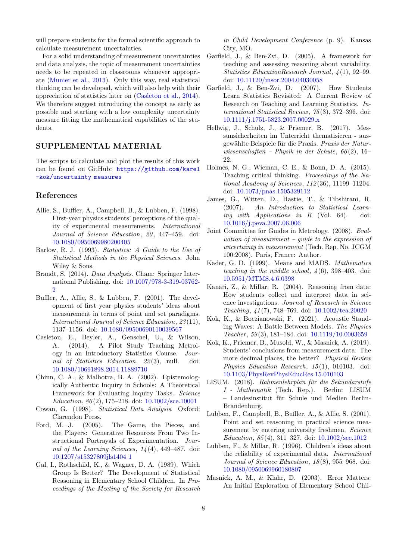will prepare students for the formal scientific approach to calculate measurement uncertainties.

For a solid understanding of measurement uncertainties and data analysis, the topic of measurement uncertainties needs to be repeated in classrooms whenever appropriate [\(Munier et al.,](#page-8-9) [2013\)](#page-8-9). Only this way, real statistical thinking can be developed, which will also help with their appreciation of statistics later on [\(Casleton et al.,](#page-7-6) [2014\)](#page-7-6). We therefore suggest introducing the concept as early as possible and starting with a low complexity uncertainty measure fitting the mathematical capabilities of the students.

#### SUPPLEMENTAL MATERIAL

The scripts to calculate and plot the results of this work can be found on GitHub: [https://github.com/karel](https://github.com/karel-kok/uncertainty_measures) [-kok/uncertainty](https://github.com/karel-kok/uncertainty_measures) measures

#### References

- <span id="page-7-8"></span>Allie, S., Buffler, A., Campbell, B., & Lubben, F. (1998). First-year physics students' perceptions of the quality of experimental measurements. International Journal of Science Education, 20, 447-459. doi: [10.1080/0950069980200405](https://doi.org/10.1080/0950069980200405)
- <span id="page-7-15"></span>Barlow, R. J. (1993). Statistics: A Guide to the Use of Statistical Methods in the Physical Sciences. John Wiley & Sons.
- <span id="page-7-16"></span>Brandt, S. (2014). Data Analysis. Cham: Springer International Publishing. doi: [10.1007/978-3-319-03762-](https://doi.org/10.1007/978-3-319-03762-2)  $\mathcal{P}$
- <span id="page-7-5"></span>Buffler, A., Allie, S., & Lubben, F. (2001). The development of first year physics students' ideas about measurement in terms of point and set paradigms. International Journal of Science Education, 23 (11), 1137–1156. doi: [10.1080/09500690110039567](https://doi.org/10.1080/09500690110039567)
- <span id="page-7-6"></span>Casleton, E., Beyler, A., Genschel, U., & Wilson, A. (2014). A Pilot Study Teaching Metrology in an Introductory Statistics Course. Journal of Statistics Education, 22(3), null. doi: [10.1080/10691898.2014.11889710](https://doi.org/10.1080/10691898.2014.11889710)
- <span id="page-7-0"></span>Chinn, C. A., & Malhotra, B. A. (2002). Epistemologically Authentic Inquiry in Schools: A Theoretical Framework for Evaluating Inquiry Tasks. Science Education, 86 (2), 175–218. doi: [10.1002/sce.10001](https://doi.org/10.1002/sce.10001)
- <span id="page-7-17"></span>Cowan, G. (1998). Statistical Data Analysis. Oxford: Clarendon Press.
- <span id="page-7-13"></span>Ford, M. J. (2005). The Game, the Pieces, and the Players: Generative Resources From Two Instructional Portrayals of Experimentation. Journal of the Learning Sciences,  $14(4)$ , 449-487. doi: [10.1207/s15327809jls1404](https://doi.org/10.1207/s15327809jls1404_1) 1
- <span id="page-7-11"></span>Gal, I., Rothschild, K., & Wagner, D. A. (1989). Which Group Is Better? The Development of Statistical Reasoning in Elementary School Children. In Proceedings of the Meeting of the Society for Research

in Child Development Conference (p. 9). Kansas City, MO.

- <span id="page-7-14"></span>Garfield, J., & Ben-Zvi, D. (2005). A framework for teaching and assessing reasoning about variability. Statistics EducationResearch Journal, 4 (1), 92–99. doi: [10.11120/msor.2004.04030058](https://doi.org/10.11120/msor.2004.04030058)
- <span id="page-7-2"></span>Garfield, J., & Ben-Zvi, D. (2007). How Students Learn Statistics Revisited: A Current Review of Research on Teaching and Learning Statistics. International Statistical Review, 75 (3), 372–396. doi: [10.1111/j.1751-5823.2007.00029.x](https://doi.org/10.1111/j.1751-5823.2007.00029.x)
- <span id="page-7-20"></span>Hellwig, J., Schulz, J., & Priemer, B. (2017). Messunsicherheiten im Unterricht thematisieren - ausgewählte Beispiele für die Praxis. Praxis der Naturwissenschaften – Physik in der Schule,  $66(2)$ , 16– 22.
- <span id="page-7-1"></span>Holmes, N. G., Wieman, C. E., & Bonn, D. A. (2015). Teaching critical thinking. Proceedings of the National Academy of Sciences, 112 (36), 11199–11204. doi: [10.1073/pnas.1505329112](https://doi.org/10.1073/pnas.1505329112)
- <span id="page-7-19"></span>James, G., Witten, D., Hastie, T., & Tibshirani, R. (2007). An Introduction to Statistical Learning with Applications in R (Vol. 64). doi: [10.1016/j.peva.2007.06.006](https://doi.org/10.1016/j.peva.2007.06.006)
- <span id="page-7-7"></span>Joint Committee for Guides in Metrology. (2008). Evaluation of measurement  $-$  guide to the expression of uncertainty in measurement (Tech. Rep. No. JCGM 100:2008). Paris, France: Author.
- <span id="page-7-22"></span>Kader, G. D. (1999). Means and MADS. Mathematics teaching in the middle school,  $\frac{1}{6}$ , 398-403. doi: [10.5951/MTMS.4.6.0398](https://doi.org/10.5951/MTMS.4.6.0398)
- <span id="page-7-10"></span>Kanari, Z., & Millar, R. (2004). Reasoning from data: How students collect and interpret data in science investigations. Journal of Research in Science Teaching, 41 (7), 748–769. doi: [10.1002/tea.20020](https://doi.org/10.1002/tea.20020)
- <span id="page-7-21"></span>Kok, K., & Boczianowski, F. (2021). Acoustic Standing Waves: A Battle Between Models. The Physics Teacher,  $59(3)$ , 181-184. doi:  $10.1119/10.0003659$
- <span id="page-7-3"></span>Kok, K., Priemer, B., Musold, W., & Masnick, A. (2019). Students' conclusions from measurement data: The more decimal places, the better? Physical Review Physics Education Research,  $15(1)$ , 010103. doi: [10.1103/PhysRevPhysEducRes.15.010103](https://doi.org/10.1103/PhysRevPhysEducRes.15.010103)
- <span id="page-7-18"></span>LISUM. (2018). Rahmenlehrplan für die Sekundarstufe I - Mathematik (Tech. Rep.). Berlin: LISUM - Landesinstitut für Schule und Medien Berlin-Brandenburg.
- <span id="page-7-4"></span>Lubben, F., Campbell, B., Buffler, A., & Allie, S. (2001). Point and set reasoning in practical science measurement by entering university freshmen. Science Education, 85 (4), 311–327. doi: [10.1002/sce.1012](https://doi.org/10.1002/sce.1012)
- <span id="page-7-9"></span>Lubben, F., & Millar, R. (1996). Children's ideas about the reliability of experimental data. International Journal of Science Education, 18(8), 955–968. doi: [10.1080/0950069960180807](https://doi.org/10.1080/0950069960180807)
- <span id="page-7-12"></span>Masnick, A. M., & Klahr, D. (2003). Error Matters: An Initial Exploration of Elementary School Chil-